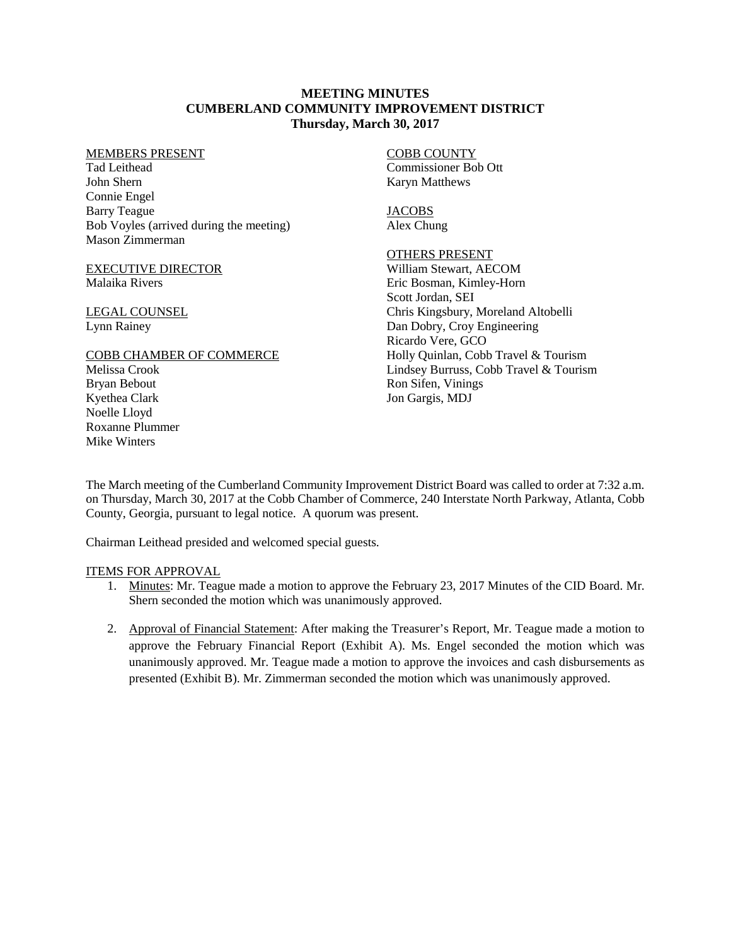## **MEETING MINUTES CUMBERLAND COMMUNITY IMPROVEMENT DISTRICT Thursday, March 30, 2017**

#### MEMBERS PRESENT

Tad Leithead John Shern Connie Engel Barry Teague Bob Voyles (arrived during the meeting) Mason Zimmerman

### EXECUTIVE DIRECTOR Malaika Rivers

LEGAL COUNSEL Lynn Rainey

## COBB CHAMBER OF COMMERCE

Melissa Crook Bryan Bebout Kyethea Clark Noelle Lloyd Roxanne Plummer Mike Winters

# COBB COUNTY

Commissioner Bob Ott Karyn Matthews

**JACOBS** Alex Chung

# OTHERS PRESENT

William Stewart, AECOM Eric Bosman, Kimley-Horn Scott Jordan, SEI Chris Kingsbury, Moreland Altobelli Dan Dobry, Croy Engineering Ricardo Vere, GCO Holly Quinlan, Cobb Travel & Tourism Lindsey Burruss, Cobb Travel & Tourism Ron Sifen, Vinings Jon Gargis, MDJ

The March meeting of the Cumberland Community Improvement District Board was called to order at 7:32 a.m. on Thursday, March 30, 2017 at the Cobb Chamber of Commerce, 240 Interstate North Parkway, Atlanta, Cobb County, Georgia, pursuant to legal notice. A quorum was present.

Chairman Leithead presided and welcomed special guests.

# ITEMS FOR APPROVAL

- 1. Minutes: Mr. Teague made a motion to approve the February 23, 2017 Minutes of the CID Board. Mr. Shern seconded the motion which was unanimously approved.
- 2. Approval of Financial Statement: After making the Treasurer's Report, Mr. Teague made a motion to approve the February Financial Report (Exhibit A). Ms. Engel seconded the motion which was unanimously approved. Mr. Teague made a motion to approve the invoices and cash disbursements as presented (Exhibit B). Mr. Zimmerman seconded the motion which was unanimously approved.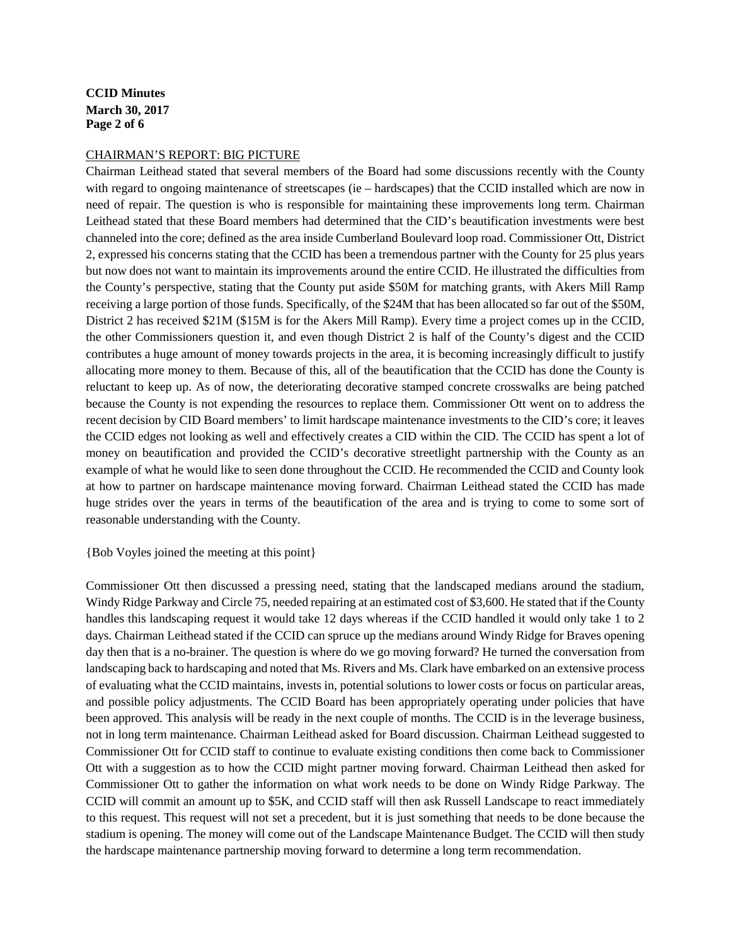# **CCID Minutes March 30, 2017 Page 2 of 6**

#### CHAIRMAN'S REPORT: BIG PICTURE

Chairman Leithead stated that several members of the Board had some discussions recently with the County with regard to ongoing maintenance of streetscapes (ie – hardscapes) that the CCID installed which are now in need of repair. The question is who is responsible for maintaining these improvements long term. Chairman Leithead stated that these Board members had determined that the CID's beautification investments were best channeled into the core; defined as the area inside Cumberland Boulevard loop road. Commissioner Ott, District 2, expressed his concerns stating that the CCID has been a tremendous partner with the County for 25 plus years but now does not want to maintain its improvements around the entire CCID. He illustrated the difficulties from the County's perspective, stating that the County put aside \$50M for matching grants, with Akers Mill Ramp receiving a large portion of those funds. Specifically, of the \$24M that has been allocated so far out of the \$50M, District 2 has received \$21M (\$15M is for the Akers Mill Ramp). Every time a project comes up in the CCID, the other Commissioners question it, and even though District 2 is half of the County's digest and the CCID contributes a huge amount of money towards projects in the area, it is becoming increasingly difficult to justify allocating more money to them. Because of this, all of the beautification that the CCID has done the County is reluctant to keep up. As of now, the deteriorating decorative stamped concrete crosswalks are being patched because the County is not expending the resources to replace them. Commissioner Ott went on to address the recent decision by CID Board members' to limit hardscape maintenance investments to the CID's core; it leaves the CCID edges not looking as well and effectively creates a CID within the CID. The CCID has spent a lot of money on beautification and provided the CCID's decorative streetlight partnership with the County as an example of what he would like to seen done throughout the CCID. He recommended the CCID and County look at how to partner on hardscape maintenance moving forward. Chairman Leithead stated the CCID has made huge strides over the years in terms of the beautification of the area and is trying to come to some sort of reasonable understanding with the County.

#### {Bob Voyles joined the meeting at this point}

Commissioner Ott then discussed a pressing need, stating that the landscaped medians around the stadium, Windy Ridge Parkway and Circle 75, needed repairing at an estimated cost of \$3,600. He stated that if the County handles this landscaping request it would take 12 days whereas if the CCID handled it would only take 1 to 2 days. Chairman Leithead stated if the CCID can spruce up the medians around Windy Ridge for Braves opening day then that is a no-brainer. The question is where do we go moving forward? He turned the conversation from landscaping back to hardscaping and noted that Ms. Rivers and Ms. Clark have embarked on an extensive process of evaluating what the CCID maintains, invests in, potential solutions to lower costs or focus on particular areas, and possible policy adjustments. The CCID Board has been appropriately operating under policies that have been approved. This analysis will be ready in the next couple of months. The CCID is in the leverage business, not in long term maintenance. Chairman Leithead asked for Board discussion. Chairman Leithead suggested to Commissioner Ott for CCID staff to continue to evaluate existing conditions then come back to Commissioner Ott with a suggestion as to how the CCID might partner moving forward. Chairman Leithead then asked for Commissioner Ott to gather the information on what work needs to be done on Windy Ridge Parkway. The CCID will commit an amount up to \$5K, and CCID staff will then ask Russell Landscape to react immediately to this request. This request will not set a precedent, but it is just something that needs to be done because the stadium is opening. The money will come out of the Landscape Maintenance Budget. The CCID will then study the hardscape maintenance partnership moving forward to determine a long term recommendation.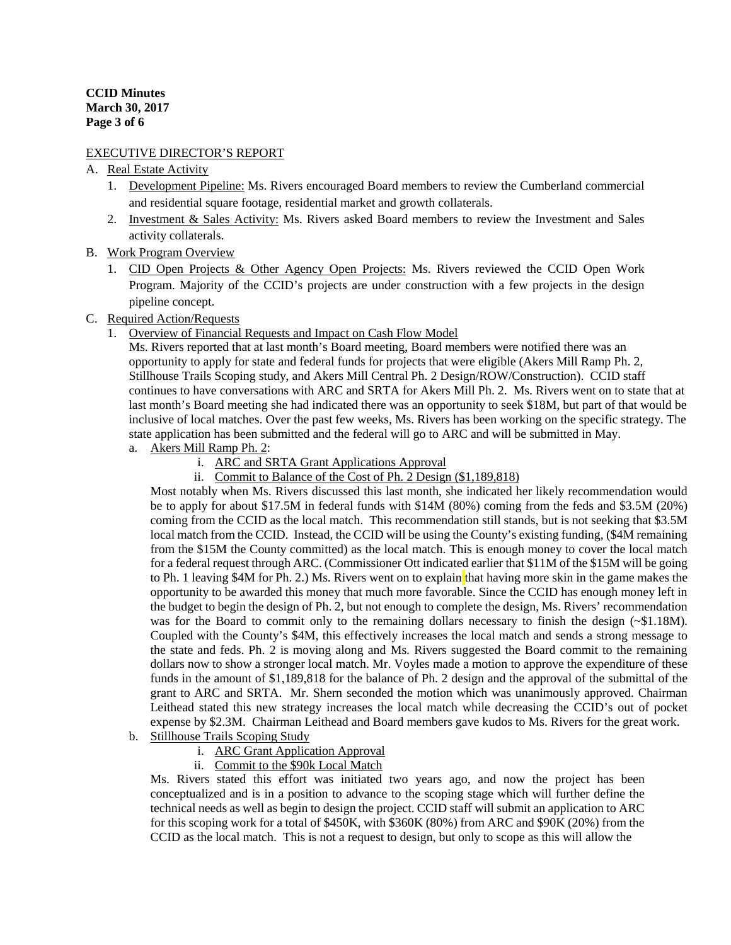# EXECUTIVE DIRECTOR'S REPORT

# A. Real Estate Activity

- 1. Development Pipeline: Ms. Rivers encouraged Board members to review the Cumberland commercial and residential square footage, residential market and growth collaterals.
- 2. Investment & Sales Activity: Ms. Rivers asked Board members to review the Investment and Sales activity collaterals.
- B. Work Program Overview
	- 1. CID Open Projects & Other Agency Open Projects: Ms. Rivers reviewed the CCID Open Work Program. Majority of the CCID's projects are under construction with a few projects in the design pipeline concept.
- C. Required Action/Requests
	- 1. Overview of Financial Requests and Impact on Cash Flow Model

Ms. Rivers reported that at last month's Board meeting, Board members were notified there was an opportunity to apply for state and federal funds for projects that were eligible (Akers Mill Ramp Ph. 2, Stillhouse Trails Scoping study, and Akers Mill Central Ph. 2 Design/ROW/Construction). CCID staff continues to have conversations with ARC and SRTA for Akers Mill Ph. 2. Ms. Rivers went on to state that at last month's Board meeting she had indicated there was an opportunity to seek \$18M, but part of that would be inclusive of local matches. Over the past few weeks, Ms. Rivers has been working on the specific strategy. The state application has been submitted and the federal will go to ARC and will be submitted in May.

- a. Akers Mill Ramp Ph. 2:
	- i. ARC and SRTA Grant Applications Approval
	- ii. Commit to Balance of the Cost of Ph. 2 Design (\$1,189,818)

Most notably when Ms. Rivers discussed this last month, she indicated her likely recommendation would be to apply for about \$17.5M in federal funds with \$14M (80%) coming from the feds and \$3.5M (20%) coming from the CCID as the local match. This recommendation still stands, but is not seeking that \$3.5M local match from the CCID. Instead, the CCID will be using the County's existing funding, (\$4M remaining from the \$15M the County committed) as the local match. This is enough money to cover the local match for a federal request through ARC. (Commissioner Ott indicated earlier that \$11M of the \$15M will be going to Ph. 1 leaving \$4M for Ph. 2.) Ms. Rivers went on to explain that having more skin in the game makes the opportunity to be awarded this money that much more favorable. Since the CCID has enough money left in the budget to begin the design of Ph. 2, but not enough to complete the design, Ms. Rivers' recommendation was for the Board to commit only to the remaining dollars necessary to finish the design  $(\sim 1.18M)$ . Coupled with the County's \$4M, this effectively increases the local match and sends a strong message to the state and feds. Ph. 2 is moving along and Ms. Rivers suggested the Board commit to the remaining dollars now to show a stronger local match. Mr. Voyles made a motion to approve the expenditure of these funds in the amount of \$1,189,818 for the balance of Ph. 2 design and the approval of the submittal of the grant to ARC and SRTA. Mr. Shern seconded the motion which was unanimously approved. Chairman Leithead stated this new strategy increases the local match while decreasing the CCID's out of pocket expense by \$2.3M. Chairman Leithead and Board members gave kudos to Ms. Rivers for the great work.

- b. Stillhouse Trails Scoping Study
	- i. ARC Grant Application Approval
	- ii. Commit to the \$90k Local Match

Ms. Rivers stated this effort was initiated two years ago, and now the project has been conceptualized and is in a position to advance to the scoping stage which will further define the technical needs as well as begin to design the project. CCID staff will submit an application to ARC for this scoping work for a total of \$450K, with \$360K (80%) from ARC and \$90K (20%) from the CCID as the local match. This is not a request to design, but only to scope as this will allow the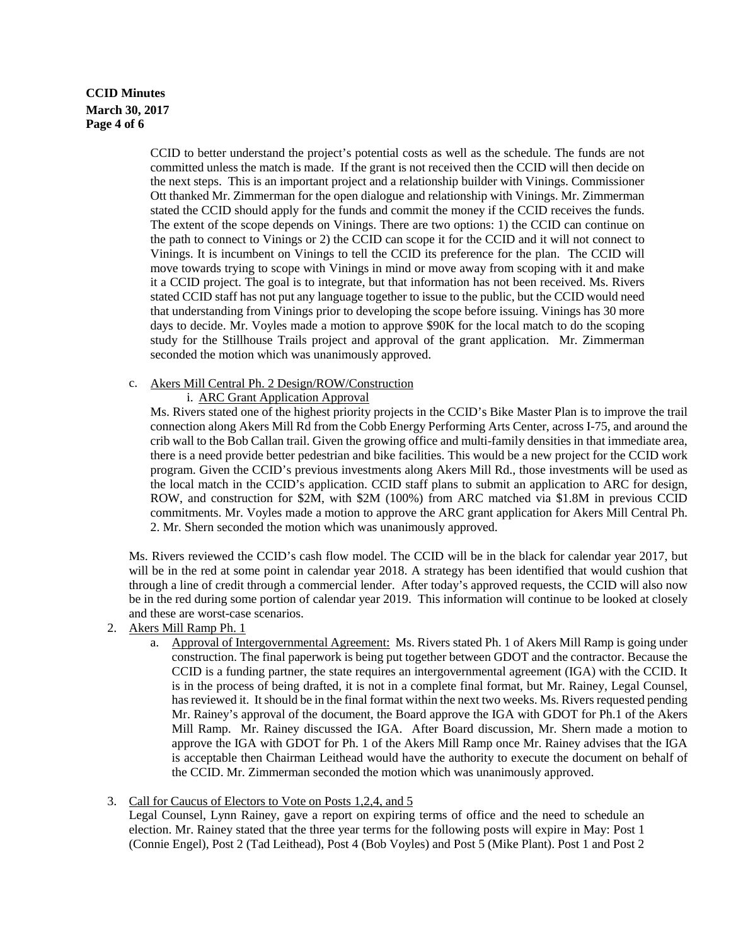# **CCID Minutes March 30, 2017 Page 4 of 6**

CCID to better understand the project's potential costs as well as the schedule. The funds are not committed unless the match is made. If the grant is not received then the CCID will then decide on the next steps. This is an important project and a relationship builder with Vinings. Commissioner Ott thanked Mr. Zimmerman for the open dialogue and relationship with Vinings. Mr. Zimmerman stated the CCID should apply for the funds and commit the money if the CCID receives the funds. The extent of the scope depends on Vinings. There are two options: 1) the CCID can continue on the path to connect to Vinings or 2) the CCID can scope it for the CCID and it will not connect to Vinings. It is incumbent on Vinings to tell the CCID its preference for the plan. The CCID will move towards trying to scope with Vinings in mind or move away from scoping with it and make it a CCID project. The goal is to integrate, but that information has not been received. Ms. Rivers stated CCID staff has not put any language together to issue to the public, but the CCID would need that understanding from Vinings prior to developing the scope before issuing. Vinings has 30 more days to decide. Mr. Voyles made a motion to approve \$90K for the local match to do the scoping study for the Stillhouse Trails project and approval of the grant application. Mr. Zimmerman seconded the motion which was unanimously approved.

### c. Akers Mill Central Ph. 2 Design/ROW/Construction

### i. ARC Grant Application Approval

Ms. Rivers stated one of the highest priority projects in the CCID's Bike Master Plan is to improve the trail connection along Akers Mill Rd from the Cobb Energy Performing Arts Center, across I-75, and around the crib wall to the Bob Callan trail. Given the growing office and multi-family densities in that immediate area, there is a need provide better pedestrian and bike facilities. This would be a new project for the CCID work program. Given the CCID's previous investments along Akers Mill Rd., those investments will be used as the local match in the CCID's application. CCID staff plans to submit an application to ARC for design, ROW, and construction for \$2M, with \$2M (100%) from ARC matched via \$1.8M in previous CCID commitments. Mr. Voyles made a motion to approve the ARC grant application for Akers Mill Central Ph. 2. Mr. Shern seconded the motion which was unanimously approved.

Ms. Rivers reviewed the CCID's cash flow model. The CCID will be in the black for calendar year 2017, but will be in the red at some point in calendar year 2018. A strategy has been identified that would cushion that through a line of credit through a commercial lender. After today's approved requests, the CCID will also now be in the red during some portion of calendar year 2019. This information will continue to be looked at closely and these are worst-case scenarios.

- 2. Akers Mill Ramp Ph. 1
	- a. Approval of Intergovernmental Agreement: Ms. Rivers stated Ph. 1 of Akers Mill Ramp is going under construction. The final paperwork is being put together between GDOT and the contractor. Because the CCID is a funding partner, the state requires an intergovernmental agreement (IGA) with the CCID. It is in the process of being drafted, it is not in a complete final format, but Mr. Rainey, Legal Counsel, has reviewed it. It should be in the final format within the next two weeks. Ms. Rivers requested pending Mr. Rainey's approval of the document, the Board approve the IGA with GDOT for Ph.1 of the Akers Mill Ramp. Mr. Rainey discussed the IGA. After Board discussion, Mr. Shern made a motion to approve the IGA with GDOT for Ph. 1 of the Akers Mill Ramp once Mr. Rainey advises that the IGA is acceptable then Chairman Leithead would have the authority to execute the document on behalf of the CCID. Mr. Zimmerman seconded the motion which was unanimously approved.

### 3. Call for Caucus of Electors to Vote on Posts 1,2,4, and 5

Legal Counsel, Lynn Rainey, gave a report on expiring terms of office and the need to schedule an election. Mr. Rainey stated that the three year terms for the following posts will expire in May: Post 1 (Connie Engel), Post 2 (Tad Leithead), Post 4 (Bob Voyles) and Post 5 (Mike Plant). Post 1 and Post 2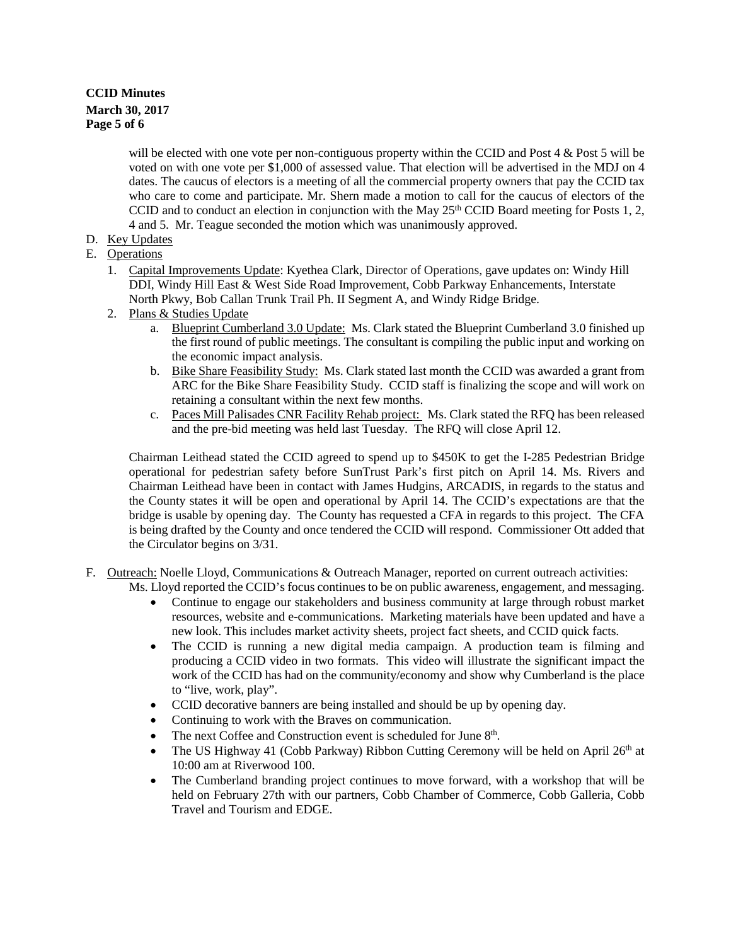# **CCID Minutes March 30, 2017 Page 5 of 6**

will be elected with one vote per non-contiguous property within the CCID and Post  $4 \&$  Post  $5$  will be voted on with one vote per \$1,000 of assessed value. That election will be advertised in the MDJ on 4 dates. The caucus of electors is a meeting of all the commercial property owners that pay the CCID tax who care to come and participate. Mr. Shern made a motion to call for the caucus of electors of the CCID and to conduct an election in conjunction with the May  $25<sup>th</sup>$  CCID Board meeting for Posts 1, 2, 4 and 5. Mr. Teague seconded the motion which was unanimously approved.

D. Key Updates

# E. Operations

- 1. Capital Improvements Update: Kyethea Clark, Director of Operations, gave updates on: Windy Hill DDI, Windy Hill East & West Side Road Improvement, Cobb Parkway Enhancements, Interstate North Pkwy, Bob Callan Trunk Trail Ph. II Segment A, and Windy Ridge Bridge.
- 2. Plans & Studies Update
	- a. Blueprint Cumberland 3.0 Update: Ms. Clark stated the Blueprint Cumberland 3.0 finished up the first round of public meetings. The consultant is compiling the public input and working on the economic impact analysis.
	- b. Bike Share Feasibility Study: Ms. Clark stated last month the CCID was awarded a grant from ARC for the Bike Share Feasibility Study. CCID staff is finalizing the scope and will work on retaining a consultant within the next few months.
	- c. Paces Mill Palisades CNR Facility Rehab project: Ms. Clark stated the RFQ has been released and the pre-bid meeting was held last Tuesday. The RFQ will close April 12.

Chairman Leithead stated the CCID agreed to spend up to \$450K to get the I-285 Pedestrian Bridge operational for pedestrian safety before SunTrust Park's first pitch on April 14. Ms. Rivers and Chairman Leithead have been in contact with James Hudgins, ARCADIS, in regards to the status and the County states it will be open and operational by April 14. The CCID's expectations are that the bridge is usable by opening day. The County has requested a CFA in regards to this project. The CFA is being drafted by the County and once tendered the CCID will respond. Commissioner Ott added that the Circulator begins on 3/31.

# F. Outreach: Noelle Lloyd, Communications & Outreach Manager, reported on current outreach activities:

Ms. Lloyd reported the CCID's focus continues to be on public awareness, engagement, and messaging.

- Continue to engage our stakeholders and business community at large through robust market resources, website and e-communications. Marketing materials have been updated and have a new look. This includes market activity sheets, project fact sheets, and CCID quick facts.
- The CCID is running a new digital media campaign. A production team is filming and producing a CCID video in two formats. This video will illustrate the significant impact the work of the CCID has had on the community/economy and show why Cumberland is the place to "live, work, play".
- CCID decorative banners are being installed and should be up by opening day.
- Continuing to work with the Braves on communication.
- The next Coffee and Construction event is scheduled for June 8<sup>th</sup>.
- The US Highway 41 (Cobb Parkway) Ribbon Cutting Ceremony will be held on April  $26<sup>th</sup>$  at 10:00 am at Riverwood 100.
- The Cumberland branding project continues to move forward, with a workshop that will be held on February 27th with our partners, Cobb Chamber of Commerce, Cobb Galleria, Cobb Travel and Tourism and EDGE.